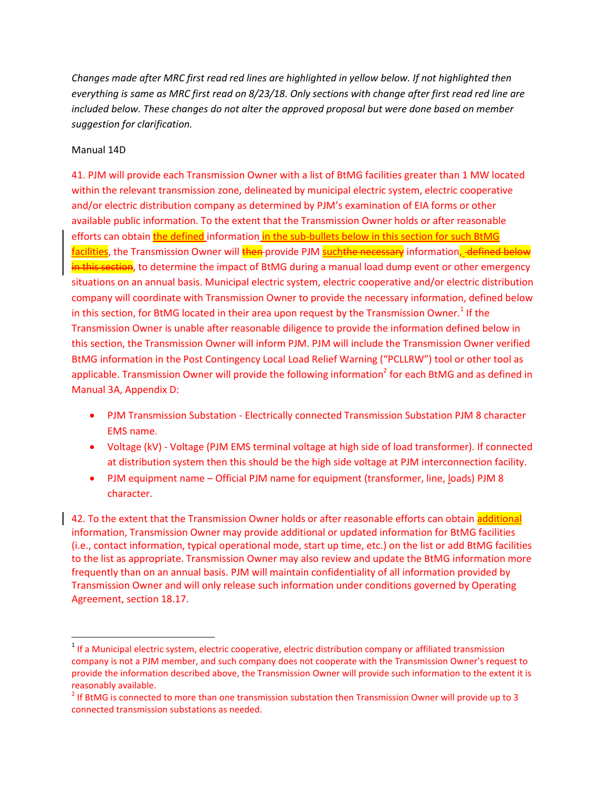*Changes made after MRC first read red lines are highlighted in yellow below. If not highlighted then everything is same as MRC first read on 8/23/18. Only sections with change after first read red line are included below. These changes do not alter the approved proposal but were done based on member suggestion for clarification.*

## Manual 14D

 $\overline{a}$ 

41. PJM will provide each Transmission Owner with a list of BtMG facilities greater than 1 MW located within the relevant transmission zone, delineated by municipal electric system, electric cooperative and/or electric distribution company as determined by PJM's examination of EIA forms or other available public information. To the extent that the Transmission Owner holds or after reasonable efforts can obtain the defined information in the sub-bullets below in this section for such BtMG facilities, the Transmission Owner will then provide PJM suchthe necessary information, defined below in this section, to determine the impact of BtMG during a manual load dump event or other emergency situations on an annual basis. Municipal electric system, electric cooperative and/or electric distribution company will coordinate with Transmission Owner to provide the necessary information, defined below in this section, for BtMG located in their area upon request by the Transmission Owner.<sup>1</sup> If the Transmission Owner is unable after reasonable diligence to provide the information defined below in this section, the Transmission Owner will inform PJM. PJM will include the Transmission Owner verified BtMG information in the Post Contingency Local Load Relief Warning ("PCLLRW") tool or other tool as applicable. Transmission Owner will provide the following information<sup>2</sup> for each BtMG and as defined in Manual 3A, Appendix D:

- PJM Transmission Substation Electrically connected Transmission Substation PJM 8 character EMS name.
- Voltage (kV) Voltage (PJM EMS terminal voltage at high side of load transformer). If connected at distribution system then this should be the high side voltage at PJM interconnection facility.
- PJM equipment name Official PJM name for equipment (transformer, line, loads) PJM 8 character.

42. To the extent that the Transmission Owner holds or after reasonable efforts can obtain additional information, Transmission Owner may provide additional or updated information for BtMG facilities (i.e., contact information, typical operational mode, start up time, etc.) on the list or add BtMG facilities to the list as appropriate. Transmission Owner may also review and update the BtMG information more frequently than on an annual basis. PJM will maintain confidentiality of all information provided by Transmission Owner and will only release such information under conditions governed by Operating Agreement, section 18.17.

<sup>&</sup>lt;sup>1</sup> If a Municipal electric system, electric cooperative, electric distribution company or affiliated transmission company is not a PJM member, and such company does not cooperate with the Transmission Owner's request to provide the information described above, the Transmission Owner will provide such information to the extent it is reasonably available.

 $2$  If BtMG is connected to more than one transmission substation then Transmission Owner will provide up to 3 connected transmission substations as needed.